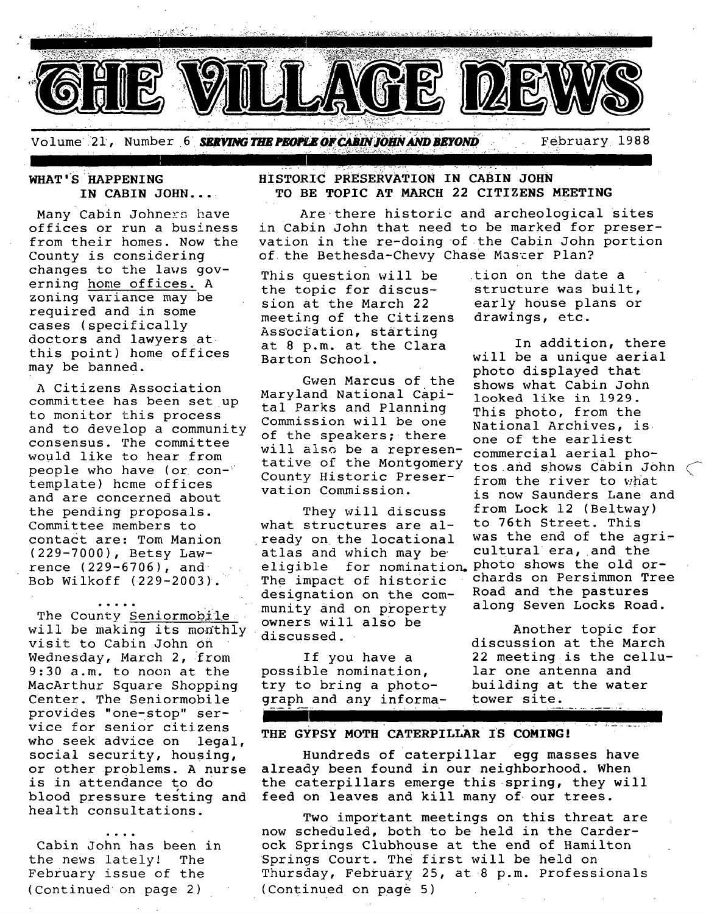

**WHAT' S HAPPENING IN CABIN JOHN...** 

Many Cabin Johners have offices or run a business from their homes. Now the County is considering changes to the laws governing home offices. A zoning variance may be required and in some cases (specifically doctors and lawyers at this point) home offices may be banned.

A Citizens Association committee has been set up to monitor this process and to develop a community consensus. The committee would like to hear from people who have (or contemplate) home offices and are concerned about the pending proposals. Committee members to contact are: Tom Manion (229-7000), Betsy Lawrence (229-6706), and Bob Wilkoff (229-2003).

...,. The County Seniormobile will be making its monthly visit to Cabin John Oh Wednesday, March 2, from 9:30 a.m. to noon at the MacArthur Square Shopping Center. The Seniormobile provides "one-stop" service for senior citizens who seek advice on legal, social security, housing, or other problems. A nurse is in attendance to do blood pressure testing and health consultations.

Cabin John has been in the news lately! The February issue of the (Continued on page 2)

 $HISTORIC$  PRESERVATION IN CABIN JOHN **TO BE TOPIC AT MARCH 22 CITIZENS MEETING** 

Are there historic and archeological sites in Cabin John that need to be marked for preservation in the re-doing of the Cabin John portion of the Bethesda-Chevy Chase Master Plan?

This question will be the topic for discussion at the March 22 meeting of the Citizens Association, starting at 8 p.m. at the Clara Barton School.

Gwen Marcus of the Maryland National capital Parks and Planning Commission will be one of the speakers; there will also be a represen-<br>tative of the Montgomery tos and shows Cabin Jo County Historic Preservation Commission.

They will discuss what structures are already on the locational atlas and which may be eligible for nomination photo shows the old or-The impact of historic designation on the community and on property owners will also be discussed.

If you have a possible nomination, try to bring a photograph and any information on the date a structure was built, early house plans or drawings, etc.

In addition, there will be a unique aerial photo displayed that shows what Cabin John looked like in 1929. This photo, from the National Archives, is one of the earliest tos and shows Cabin John  $\subset$ from the river to what is now Saunders Lane and from Lock 12 (Beltway) to 76th Street. This was the end of the agricultural era, and the chards on Persimmon Tree Road and the pastures along Seven Locks Road.

Another topic for discussion at the March 22 meeting~is the cellular one antenna and building at the water tower site.

#### **THE GYPSY MOTH CATERPILLAR IS COMING!**

Hundreds of caterpillar egg masses have already been found in our neighborhood. When the caterpillars emerge this spring, they will feed on leaves and kill many of our trees.

Two important meetings on this threat are now scheduled, both to be held in the Carder- .ok Springs Clubhouse at the end of Hamilton Springs Court. The first will be held on Thursday, February 25, at 8 p.m. Professionals (Continued on page 5)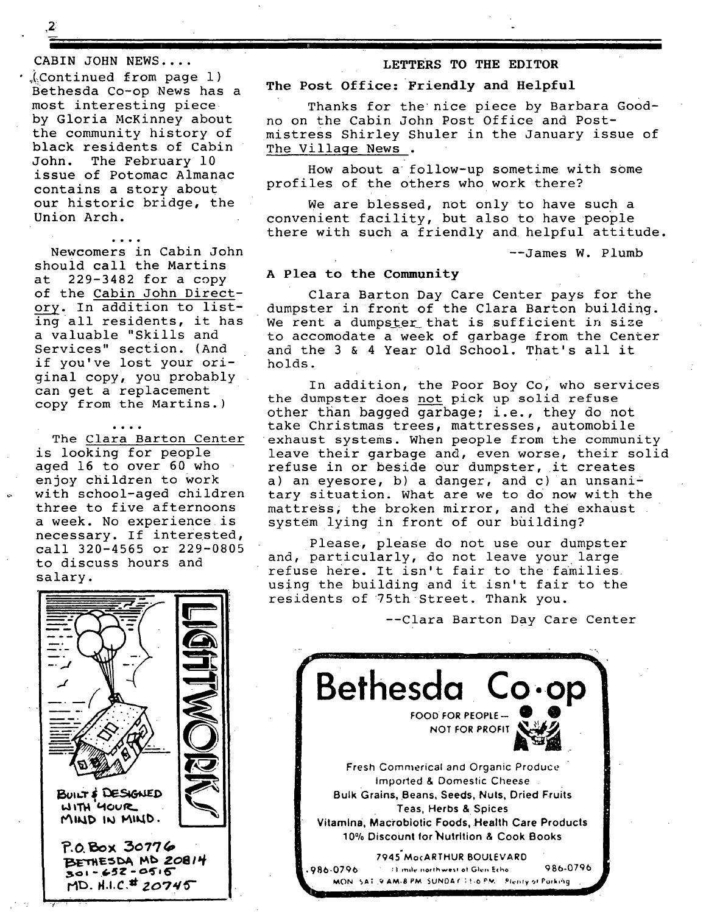$\boldsymbol{z}$ 

*.... &.* 

CABIN JOHN NEWS ....

 $\Lambda$ Continued from page 1) Bethesda Co-op News has a most interesting piece by Gloria McKinney about the community history of black residents of Cabin John. The February 10 issue of Potomac Almanac contains a story about our historic bridge, the Union Arch.

moo.

Newcomers in Cabin John should call the Martins at 229-3482 for a copy of the Cabin John Directory. In addition to listing all residents, it has a valuable "Skills and Services" section. (And if you've lost your original copy, you probably can get a replacement copy from the Martins.)

The Clara Barton Center is looking for people aged 16 to over 60 who enjoy children to work with school-aged children three to five afternoons a week. No experience is necessary. If interested, call 320-4565 or 229-0805 to discuss hours and salary.

### **LETTERS TO THE EDITOR**

#### **The Post Office: Friendly and Helpful**

Thanks for the nice piece by Barbara Goodno on the Cabin John Post Office and Postmistress Shirley Shuler in the January issue of The Village News .

How about a follow-up sometime with some profiles of the others who work there?

We are blessed, not only to have such a convenient facility, but also to have people there with such a friendly and helpful attitude.

--James W. Plumb

#### *A Plea* **to the Community**

**I** 

Clara Barton Day Care Center pays for the dumpster in front of the Clara Barton building. We rent a dumpster that is sufficient in size to accomodate a week of garbage from the Center and the 3 & 4 Year Old School. That's all it holds.

In addition, the Poor Boy Co, who services the dumpster does not pick up solid refuse other than bagged garbage; i.e., they do not take Christmas trees, mattresses, automobile exhaust systems. When people from the community leave their garbage and, even worse, their solid refuse in or beside our dumpster, it creates a) an eyesore, b) a danger, and  $c$ ) an unsanitary situation. What are we to do now with the mattress, the broken mirror, and the exhaust system lying in front of our building?

Please, please do not use our dumpster and, particularly, do not leave your large refuse here. It isn't fair to the families using the building and it isn't fair to the residents of 75th Street. Thank you.

--Clara Barton Day Care Center



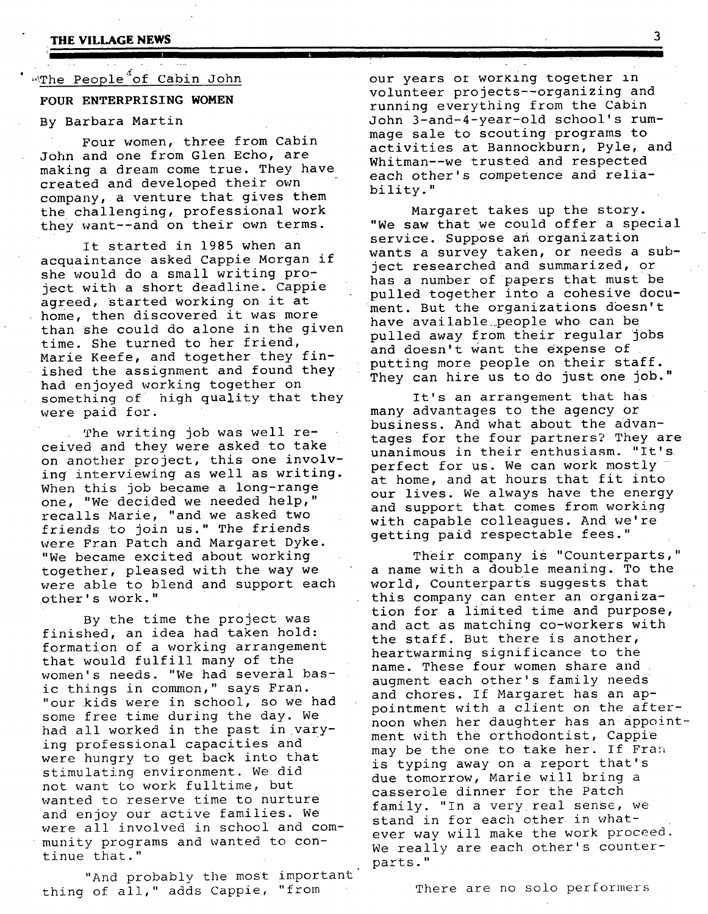#### **THE VILLAGE NEWS**

### .<br>The People<sup>3</sup>of Cabin John

#### **FOUR ENTERPRISING WOMEN**

#### By Barbara Martin

Four women, three from Cabin John and one from Glen Echo, are making a dream come true. They have created and developed their own company, a venture that gives them the challenging, professional work they want--and on their own terms.

It started in 1985 when an acquaintance asked Cappie Morgan if she would do a small writing project with a short deadline. Cappie agreed, started working on it at home, then discovered it was more than She could do alone in the given time. She turned to her friend, Marie Keefe, and together they finished the assignment and found they had enjoyed working together on something of high quality that they were paid for.

The writing job was well received and they were asked to take on another project, this one involving interviewing as well as writing. When this job became a long-range one, "We decided we needed help," recalls Marie, "and we asked two friends to join us." The friends were Fran Patch and Margaret Dyke. "We became excited about working together, pleased with the way we were able to blend and support each other's work."

By the time the project was finished, an idea had taken hold: formation of a working arrangement that would fulfill many of the women's needs. "We had several basic things in common," says Fran. "our kids were in school, so we had some free time during the day. We had allworked in the past in varYing professional capacities and were hungry to get back into that stimulating environment. We did not want to work fulltime, but wanted to reserve time to nurture and enjoy our active families. We were all involved in school and community programs and wanted to continue that."

"And probably the most important thing of all," adds Cappie, "from

our years or working together in volunteer projects--organizing and running everything from the Cabin John 3-and-4-year-old school's rummage sale to scouting programs to activities at Bannockburn, Pyle, and Whitman--we trusted and respected each other's competence and reliability."

Margaret takes up the story. "We saw that we could offer a special service. Suppose an organization wants a survey taken, or needs a subject researched and summarized, or has a number of papers that must be pulled together into a cohesive document. But the organizations doesn't have available..people who can be pulled away from their regular jobs and doesn't Want the expense of putting more people on their staff. They can hire us to do just one job."

It's an arrangement that has many advantages to the agency or business. And what about the advantages for the four partners? They are unanimous in their enthusiasm. "It's perfect for us. We can work mostly at home, and at hours that fit into our lives. We always have the energy and support that comes from working with capable colleagues. And we're getting paid respectable fees."

Their company is "Counterparts," a name with a double meaning. To the world, counterparts suggests that this company can enter an organization for a limited time and purpose, and act as matching co-workers with the staff. But there is another, heartwarming significance to the name. These four women share and augment each other's family needs and chores. If Margaret has an appointment with a client on the afternoon when her daughter has an appointment with the orthodontist, Cappie may be the one to take her. If Fran is typing away on a report that's due tomorrow, Marie will bring a casserole dinner for the Patch family. "In a very real sense, we stand in for each other in whatever way will make the work proceed We really are each other's counterparts."

There are no solo performers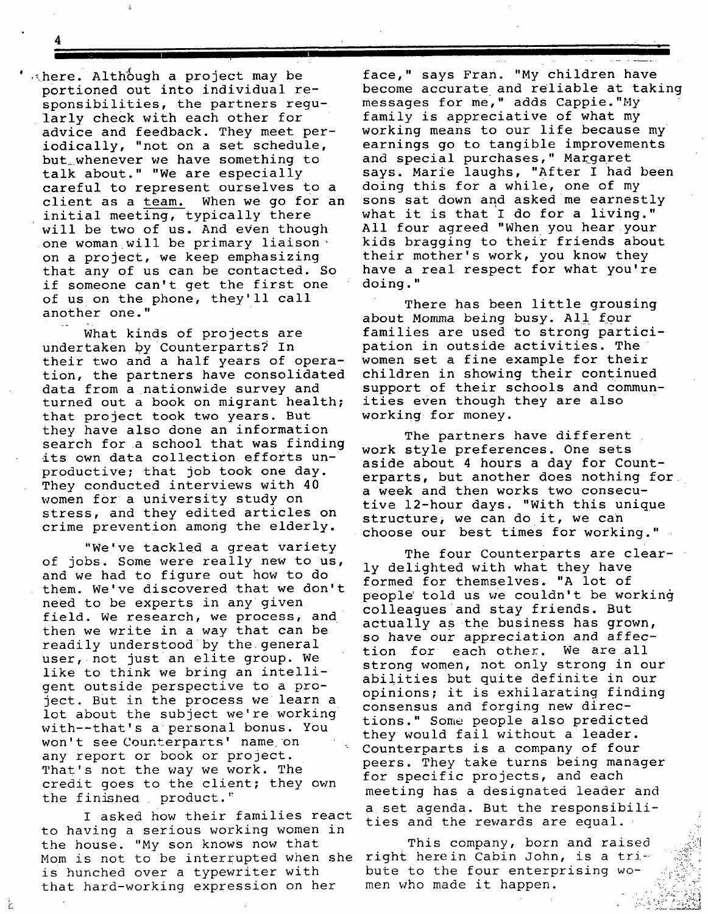**4 ---** 

 $'$  . here. Although a project may be portioned out into individual responsibilities, the partners regularly check with each other for advice and feedback. They meet periodically, "not on a set schedule, but\_whenever we have something to talk about." "We are especially careful to represent ourselves to a client as a team. When we go for an initial meeting, typically there will be two of us. And even though one woman will be primary liaison \* on a project, we keep emphasizing that any of us can be contacted. So if someone can't get the first one of us on the phone, they'll call another one."

What kinds of projects are undertaken by counterparts? In their two and a half years of operation, the partners have consolidated data from a nationwide survey and turned out a book on migrant health; that project took two years. But they have also done an information search for a school that was finding its own data collection efforts unproductive; that job took one day. They conducted interviews with 40 women for a university study on stress, and they edited articles on crime prevention among the elderly.

"We've tackled a great variety of jobs. Some were really new to us, and we had to figure out how to do them. We've discovered that we don't need to be experts in any given field. We research, we process, and then we write in a way that can be readily understood by the general user, not just an elite group. We like to think we bring an intelligent outside perspective to a project. But in the process we learn a lot about the subject we're working with--that's a personal bonus. You won't see Counterparts' name on any report or book or project. That's not the way we work. The credit goes to the client; they own the finished product."

I asked how their families react to having a serious working women in the house. "My son knows now that Mom is not to be interrupted when she right herein Cabin John, is a triis hunched over a typewriter with that hard-working expression on her

Ÿ.

face," says Fran. "My children have become accurate and reliable at taking messages for me," adds Cappie."My family is appreciative of what my working means to our life because my earnings go to tangible improvements and special purchases," Margaret says. Marie laughs, "After I had been doing this for a while, one of my sons sat down and asked me earnestly what it is that I do for a living." All four agreed "When you hear your kids bragging to their friends about their mother's work, you know they have a real respect for what you're doing."

There has been little grousing *about* Momma being busy. All four families are used to strong participation in outside activities. The women set a fine example for their children in showing their continued support of their schools and communities even though they are also working for money.

The partners have different. work style preferences. One sets aside about 4 hours a day for Counterparts, but another does nothing for a week and then works two consecutive 12-hour days. "With this unique structure, we can do it, we can choose our best times for working."

The four Counterparts are clearly delighted with what they have formed for themselves. "A lot of people' told us we couldn't be working colleagues and stay friends. But actually as the business has grown, so have our appreciation and affection for each other. We are all strong women, not only strong in our abilities but quite definite in our opinions; it is exhilarating finding consensus and forging new directions." Some people also predicted they would fail without a leader. Counterparts is a company of four peers. They take turns being manager for specific projects, and each meeting has a designated leader and a set agenda. But the responsibilities and the rewards are equal.

This company, born and raised bute to the four enterprising women who made it happen.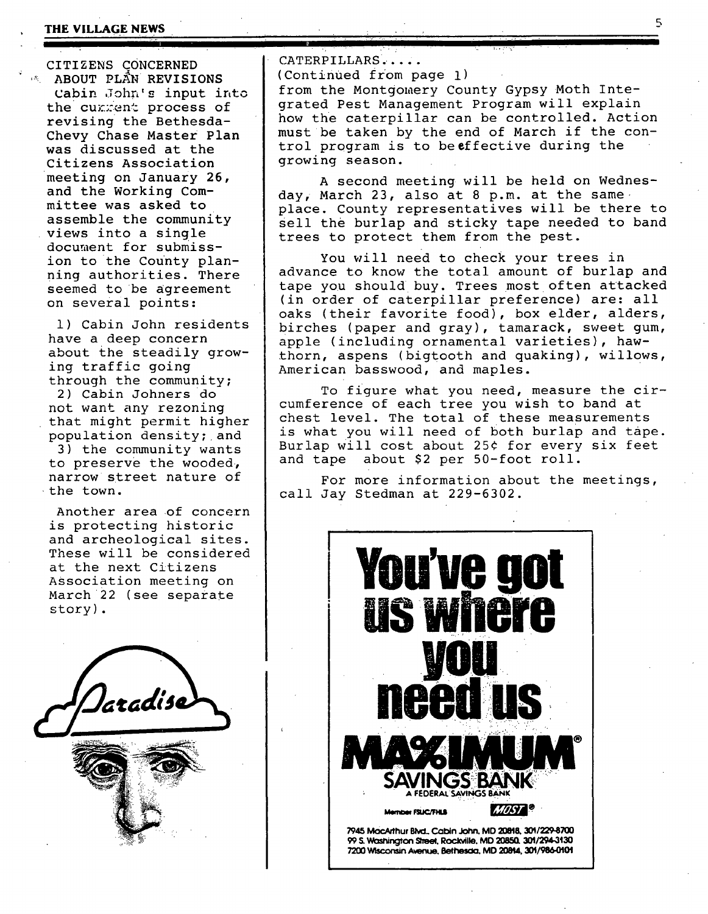#### **THE VILLAGE NEWS 5**

CITIZENS CONCERNED '~ ABOUT PLaN REVISIONS cabin John's input into the cumment process of revising the Bethesda-Chevy Chase Master Plan was discussed at the Citizens Association meeting on January 26, and the Working Committee was asked to assemble the community views into a single document for submission to the County planning authorities. There seemed to be agreement on several points:

i) Cabin John residents have a deep concern about the steadily growing traffic going through the community; 2) Cabin Johners do not want any rezoning that might permit higher population density; and 3) the community wants

to preserve the wooded, narrow street nature of the town.

Another area of concern is protecting historic and archeological sites. These will be considered at the next Citizens ASSociation meeting on March 22 (see separate story) .

laradise

CATERPILLARS

(Continued from page i) from the Montgomery County Gypsy Moth Integrated Pest Management Program will explain how the caterpillar can be controlled. Action must be taken by the end of March if the control program is to beeffective during the growing season.

ς

A second meeting will be held on Wednesday, March 23, also at 8 p.m. at the same place. County representatives will be there to sell the burlap and sticky tape needed to band trees to protect them from the pest.

You will need to check your trees in advance to know the total amount of burlap and tape you should buy. Trees most often attacked (in order of caterpillar preference) are: all oaks (their favorite food), box elder, alders, birches (paper and gray), tamarack, sweet gum, apple (including ornamental varieties), hawthorn, aspens (bigtooth and quaking), willows, American basswood, and maples.

To figure what you need, measure the circumference of each tree you wish to band at chest level. The total of these measurements is what you will need of both burlap and tape. Burlap will cost about 25¢ for every six feet and tape about \$2 per 50-foot roll.

For more information about the meetings, call Jay Stedman at 229-6302.